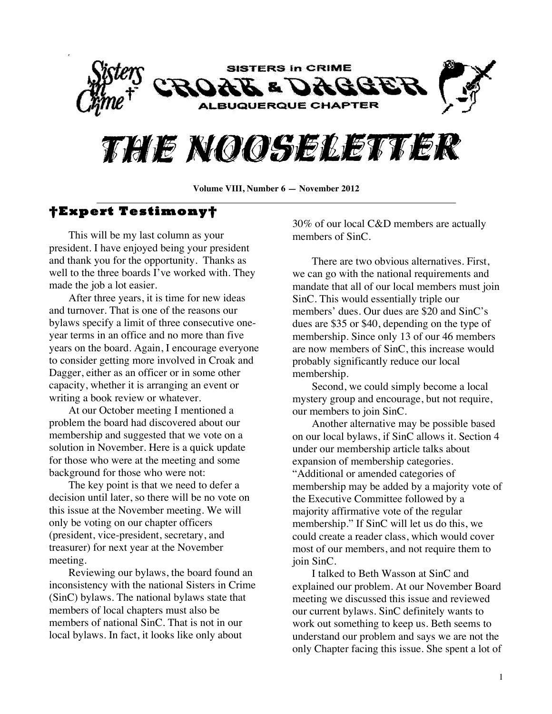



**Volume VIII, Number 6 — November 2012**

#### **†Expert Testimony†**

This will be my last column as your president. I have enjoyed being your president and thank you for the opportunity. Thanks as well to the three boards I've worked with. They made the job a lot easier.

After three years, it is time for new ideas and turnover. That is one of the reasons our bylaws specify a limit of three consecutive oneyear terms in an office and no more than five years on the board. Again, I encourage everyone to consider getting more involved in Croak and Dagger, either as an officer or in some other capacity, whether it is arranging an event or writing a book review or whatever.

At our October meeting I mentioned a problem the board had discovered about our membership and suggested that we vote on a solution in November. Here is a quick update for those who were at the meeting and some background for those who were not:

The key point is that we need to defer a decision until later, so there will be no vote on this issue at the November meeting. We will only be voting on our chapter officers (president, vice-president, secretary, and treasurer) for next year at the November meeting.

Reviewing our bylaws, the board found an inconsistency with the national Sisters in Crime (SinC) bylaws. The national bylaws state that members of local chapters must also be members of national SinC. That is not in our local bylaws. In fact, it looks like only about

30% of our local C&D members are actually members of SinC.

There are two obvious alternatives. First, we can go with the national requirements and mandate that all of our local members must join SinC. This would essentially triple our members' dues. Our dues are \$20 and SinC's dues are \$35 or \$40, depending on the type of membership. Since only 13 of our 46 members are now members of SinC, this increase would probably significantly reduce our local membership.

Second, we could simply become a local mystery group and encourage, but not require, our members to join SinC.

Another alternative may be possible based on our local bylaws, if SinC allows it. Section 4 under our membership article talks about expansion of membership categories. "Additional or amended categories of membership may be added by a majority vote of the Executive Committee followed by a majority affirmative vote of the regular membership." If SinC will let us do this, we could create a reader class, which would cover most of our members, and not require them to join SinC.

I talked to Beth Wasson at SinC and explained our problem. At our November Board meeting we discussed this issue and reviewed our current bylaws. SinC definitely wants to work out something to keep us. Beth seems to understand our problem and says we are not the only Chapter facing this issue. She spent a lot of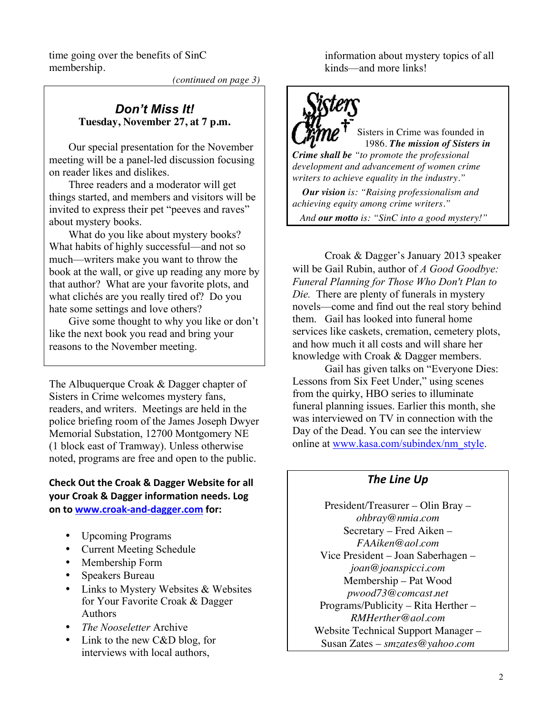time going over the benefits of SinC membership.

*(continued on page 3)*

### *Don't Miss It!* **Tuesday, November 27, at 7 p.m.**

Our special presentation for the November meeting will be a panel-led discussion focusing on reader likes and dislikes.

Three readers and a moderator will get things started, and members and visitors will be invited to express their pet "peeves and raves" about mystery books.

What do you like about mystery books? What habits of highly successful—and not so much—writers make you want to throw the book at the wall, or give up reading any more by that author? What are your favorite plots, and what clichés are you really tired of? Do you hate some settings and love others?

Give some thought to why you like or don't like the next book you read and bring your reasons to the November meeting.

The Albuquerque Croak & Dagger chapter of Sisters in Crime welcomes mystery fans, readers, and writers. Meetings are held in the police briefing room of the James Joseph Dwyer Memorial Substation, 12700 Montgomery NE (1 block east of Tramway). Unless otherwise noted, programs are free and open to the public.

**Check Out the Croak & Dagger Website for all your Croak & Dagger information needs. Log on to www.croak-and-dagger.com for:** 

- Upcoming Programs
- Current Meeting Schedule
- Membership Form
- Speakers Bureau
- Links to Mystery Websites & Websites for Your Favorite Croak & Dagger Authors
- *The Nooseletter* Archive
- Link to the new  $C&D$  blog, for interviews with local authors,

information about mystery topics of all kinds—and more links!

Sisters in Crime was founded in 1986. *The mission of Sisters in Crime shall be "to promote the professional development and advancement of women crime writers to achieve equality in the industry."*

 *Our vision is: "Raising professionalism and achieving equity among crime writers."*

 *And our motto is: "SinC into a good mystery!"*

Croak & Dagger's January 2013 speaker will be Gail Rubin, author of *A Good Goodbye: Funeral Planning for Those Who Don't Plan to Die.* There are plenty of funerals in mystery novels—come and find out the real story behind them. Gail has looked into funeral home services like caskets, cremation, cemetery plots, and how much it all costs and will share her knowledge with Croak & Dagger members.

Gail has given talks on "Everyone Dies: Lessons from Six Feet Under," using scenes from the quirky, HBO series to illuminate funeral planning issues. Earlier this month, she was interviewed on TV in connection with the Day of the Dead. You can see the interview online at www.kasa.com/subindex/nm\_style.

## *The Line Up*

President/Treasurer – Olin Bray – *ohbray@nmia.com* Secretary – Fred Aiken – *FAAiken@aol.com* Vice President – Joan Saberhagen – *joan@joanspicci.com* Membership – Pat Wood *pwood73@comcast.net* Programs/Publicity – Rita Herther – *RMHerther@aol.com* Website Technical Support Manager – Susan Zates – *smzates@yahoo.com*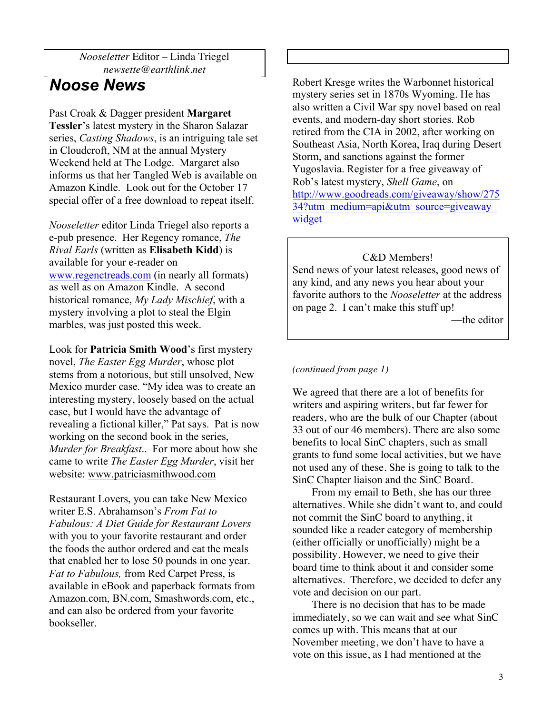*Nooseletter* Editor – Linda Triegel *newsette@earthlink.net*

# *Noose News*

Past Croak & Dagger president **Margaret Tessler**'s latest mystery in the Sharon Salazar series, *Casting Shadows*, is an intriguing tale set in Cloudcroft, NM at the annual Mystery Weekend held at The Lodge. Margaret also informs us that her Tangled Web is available on Amazon Kindle. Look out for the October 17 special offer of a free download to repeat itself.

*Nooseletter* editor Linda Triegel also reports a e-pub presence. Her Regency romance, *The Rival Earls* (written as **Elisabeth Kidd**) is available for your e-reader on www.regenctreads.com (in nearly all formats) as well as on Amazon Kindle. A second historical romance, *My Lady Mischief*, with a mystery involving a plot to steal the Elgin marbles, was just posted this week.

Look for **Patricia Smith Wood**'s first mystery novel, *The Easter Egg Murder*, whose plot stems from a notorious, but still unsolved, New Mexico murder case. "My idea was to create an interesting mystery, loosely based on the actual case, but I would have the advantage of revealing a fictional killer," Pat says. Pat is now working on the second book in the series, *Murder for Breakfast*.. For more about how she came to write *The Easter Egg Murder*, visit her website: www.patriciasmithwood.com

Restaurant Lovers, you can take New Mexico writer E.S. Abrahamson's *From Fat to Fabulous: A Diet Guide for Restaurant Lovers* with you to your favorite restaurant and order the foods the author ordered and eat the meals that enabled her to lose 50 pounds in one year. *Fat to Fabulous,* from Red Carpet Press, is available in eBook and paperback formats from Amazon.com, BN.com, Smashwords.com, etc., and can also be ordered from your favorite bookseller.

Robert Kresge writes the Warbonnet historical mystery series set in 1870s Wyoming. He has also written a Civil War spy novel based on real events, and modern-day short stories. Rob retired from the CIA in 2002, after working on Southeast Asia, North Korea, Iraq during Desert Storm, and sanctions against the former Yugoslavia. Register for a free giveaway of Rob's latest mystery, *Shell Game*, on http://www.goodreads.com/giveaway/show/275 34?utm\_medium=api&utm\_source=giveaway\_ widget

#### C&D Members!

Send news of your latest releases, good news of any kind, and any news you hear about your favorite authors to the *Nooseletter* at the address on page 2. I can't make this stuff up!

—the editor

#### *(continued from page 1)*

We agreed that there are a lot of benefits for writers and aspiring writers, but far fewer for readers, who are the bulk of our Chapter (about 33 out of our 46 members). There are also some benefits to local SinC chapters, such as small grants to fund some local activities, but we have not used any of these. She is going to talk to the SinC Chapter liaison and the SinC Board.

From my email to Beth, she has our three alternatives. While she didn't want to, and could not commit the SinC board to anything, it sounded like a reader category of membership (either officially or unofficially) might be a possibility. However, we need to give their board time to think about it and consider some alternatives. Therefore, we decided to defer any vote and decision on our part.

There is no decision that has to be made immediately, so we can wait and see what SinC comes up with. This means that at our November meeting, we don't have to have a vote on this issue, as I had mentioned at the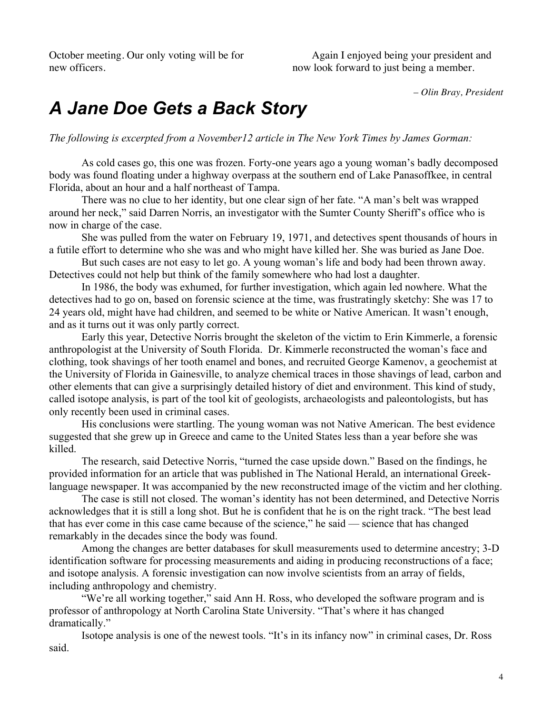October meeting. Our only voting will be for new officers.

Again I enjoyed being your president and now look forward to just being a member.

– *Olin Bray, President*

# *A Jane Doe Gets a Back Story*

*The following is excerpted from a November12 article in The New York Times by James Gorman:*

As cold cases go, this one was frozen. Forty-one years ago a young woman's badly decomposed body was found floating under a highway overpass at the southern end of Lake Panasoffkee, in central Florida, about an hour and a half northeast of Tampa.

There was no clue to her identity, but one clear sign of her fate. "A man's belt was wrapped around her neck," said Darren Norris, an investigator with the Sumter County Sheriff's office who is now in charge of the case.

She was pulled from the water on February 19, 1971, and detectives spent thousands of hours in a futile effort to determine who she was and who might have killed her. She was buried as Jane Doe.

But such cases are not easy to let go. A young woman's life and body had been thrown away. Detectives could not help but think of the family somewhere who had lost a daughter.

In 1986, the body was exhumed, for further investigation, which again led nowhere. What the detectives had to go on, based on forensic science at the time, was frustratingly sketchy: She was 17 to 24 years old, might have had children, and seemed to be white or Native American. It wasn't enough, and as it turns out it was only partly correct.

Early this year, Detective Norris brought the skeleton of the victim to Erin Kimmerle, a forensic anthropologist at the University of South Florida. Dr. Kimmerle reconstructed the woman's face and clothing, took shavings of her tooth enamel and bones, and recruited George Kamenov, a geochemist at the University of Florida in Gainesville, to analyze chemical traces in those shavings of lead, carbon and other elements that can give a surprisingly detailed history of diet and environment. This kind of study, called isotope analysis, is part of the tool kit of geologists, archaeologists and paleontologists, but has only recently been used in criminal cases.

His conclusions were startling. The young woman was not Native American. The best evidence suggested that she grew up in Greece and came to the United States less than a year before she was killed.

The research, said Detective Norris, "turned the case upside down." Based on the findings, he provided information for an article that was published in The National Herald, an international Greeklanguage newspaper. It was accompanied by the new reconstructed image of the victim and her clothing.

The case is still not closed. The woman's identity has not been determined, and Detective Norris acknowledges that it is still a long shot. But he is confident that he is on the right track. "The best lead that has ever come in this case came because of the science," he said — science that has changed remarkably in the decades since the body was found.

Among the changes are better databases for skull measurements used to determine ancestry; 3-D identification software for processing measurements and aiding in producing reconstructions of a face; and isotope analysis. A forensic investigation can now involve scientists from an array of fields, including anthropology and chemistry.

"We're all working together," said Ann H. Ross, who developed the software program and is professor of anthropology at North Carolina State University. "That's where it has changed dramatically."

Isotope analysis is one of the newest tools. "It's in its infancy now" in criminal cases, Dr. Ross said.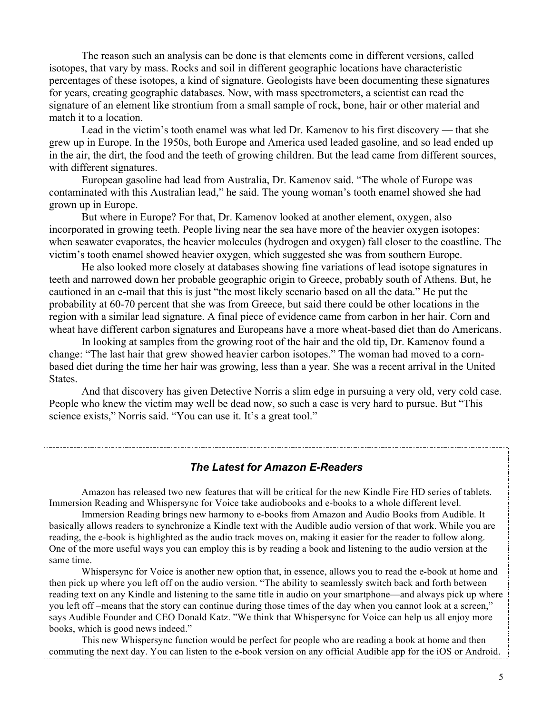The reason such an analysis can be done is that elements come in different versions, called isotopes, that vary by mass. Rocks and soil in different geographic locations have characteristic percentages of these isotopes, a kind of signature. Geologists have been documenting these signatures for years, creating geographic databases. Now, with mass spectrometers, a scientist can read the signature of an element like strontium from a small sample of rock, bone, hair or other material and match it to a location.

Lead in the victim's tooth enamel was what led Dr. Kamenov to his first discovery — that she grew up in Europe. In the 1950s, both Europe and America used leaded gasoline, and so lead ended up in the air, the dirt, the food and the teeth of growing children. But the lead came from different sources, with different signatures.

European gasoline had lead from Australia, Dr. Kamenov said. "The whole of Europe was contaminated with this Australian lead," he said. The young woman's tooth enamel showed she had grown up in Europe.

But where in Europe? For that, Dr. Kamenov looked at another element, oxygen, also incorporated in growing teeth. People living near the sea have more of the heavier oxygen isotopes: when seawater evaporates, the heavier molecules (hydrogen and oxygen) fall closer to the coastline. The victim's tooth enamel showed heavier oxygen, which suggested she was from southern Europe.

He also looked more closely at databases showing fine variations of lead isotope signatures in teeth and narrowed down her probable geographic origin to Greece, probably south of Athens. But, he cautioned in an e-mail that this is just "the most likely scenario based on all the data." He put the probability at 60-70 percent that she was from Greece, but said there could be other locations in the region with a similar lead signature. A final piece of evidence came from carbon in her hair. Corn and wheat have different carbon signatures and Europeans have a more wheat-based diet than do Americans.

In looking at samples from the growing root of the hair and the old tip, Dr. Kamenov found a change: "The last hair that grew showed heavier carbon isotopes." The woman had moved to a cornbased diet during the time her hair was growing, less than a year. She was a recent arrival in the United States.

And that discovery has given Detective Norris a slim edge in pursuing a very old, very cold case. People who knew the victim may well be dead now, so such a case is very hard to pursue. But "This science exists," Norris said. "You can use it. It's a great tool."

#### *The Latest for Amazon E-Readers*

Amazon has released two new features that will be critical for the new Kindle Fire HD series of tablets. Immersion Reading and Whispersync for Voice take audiobooks and e-books to a whole different level.

Immersion Reading brings new harmony to e-books from Amazon and Audio Books from Audible. It basically allows readers to synchronize a Kindle text with the Audible audio version of that work. While you are reading, the e-book is highlighted as the audio track moves on, making it easier for the reader to follow along. One of the more useful ways you can employ this is by reading a book and listening to the audio version at the same time.

Whispersync for Voice is another new option that, in essence, allows you to read the e-book at home and then pick up where you left off on the audio version. "The ability to seamlessly switch back and forth between reading text on any Kindle and listening to the same title in audio on your smartphone—and always pick up where you left off –means that the story can continue during those times of the day when you cannot look at a screen," says Audible Founder and CEO Donald Katz. "We think that Whispersync for Voice can help us all enjoy more books, which is good news indeed."

This new Whispersync function would be perfect for people who are reading a book at home and then commuting the next day. You can listen to the e-book version on any official Audible app for the iOS or Android.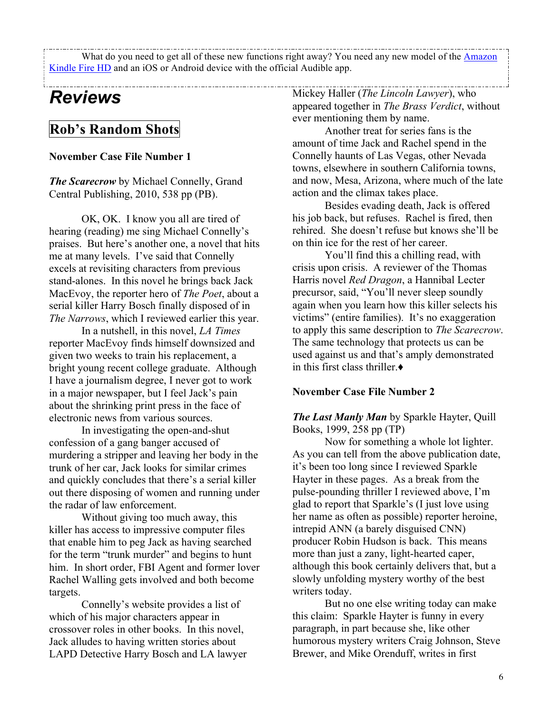What do you need to get all of these new functions right away? You need any new model of the Amazon Kindle Fire HD and an iOS or Android device with the official Audible app.

# *Reviews*

# **Rob's Random Shots**

#### **November Case File Number 1**

*The Scarecrow* by Michael Connelly, Grand Central Publishing, 2010, 538 pp (PB).

OK, OK. I know you all are tired of hearing (reading) me sing Michael Connelly's praises. But here's another one, a novel that hits me at many levels. I've said that Connelly excels at revisiting characters from previous stand-alones. In this novel he brings back Jack MacEvoy, the reporter hero of *The Poet*, about a serial killer Harry Bosch finally disposed of in *The Narrows*, which I reviewed earlier this year.

In a nutshell, in this novel, *LA Times* reporter MacEvoy finds himself downsized and given two weeks to train his replacement, a bright young recent college graduate. Although I have a journalism degree, I never got to work in a major newspaper, but I feel Jack's pain about the shrinking print press in the face of electronic news from various sources.

In investigating the open-and-shut confession of a gang banger accused of murdering a stripper and leaving her body in the trunk of her car, Jack looks for similar crimes and quickly concludes that there's a serial killer out there disposing of women and running under the radar of law enforcement.

Without giving too much away, this killer has access to impressive computer files that enable him to peg Jack as having searched for the term "trunk murder" and begins to hunt him. In short order, FBI Agent and former lover Rachel Walling gets involved and both become targets.

Connelly's website provides a list of which of his major characters appear in crossover roles in other books. In this novel, Jack alludes to having written stories about LAPD Detective Harry Bosch and LA lawyer Mickey Haller (*The Lincoln Lawyer*), who appeared together in *The Brass Verdict*, without ever mentioning them by name.

Another treat for series fans is the amount of time Jack and Rachel spend in the Connelly haunts of Las Vegas, other Nevada towns, elsewhere in southern California towns, and now, Mesa, Arizona, where much of the late action and the climax takes place.

Besides evading death, Jack is offered his job back, but refuses. Rachel is fired, then rehired. She doesn't refuse but knows she'll be on thin ice for the rest of her career.

You'll find this a chilling read, with crisis upon crisis. A reviewer of the Thomas Harris novel *Red Dragon*, a Hannibal Lecter precursor, said, "You'll never sleep soundly again when you learn how this killer selects his victims" (entire families). It's no exaggeration to apply this same description to *The Scarecrow*. The same technology that protects us can be used against us and that's amply demonstrated in this first class thriller.**♦**

#### **November Case File Number 2**

*The Last Manly Man* by Sparkle Hayter, Quill Books, 1999, 258 pp (TP)

Now for something a whole lot lighter. As you can tell from the above publication date, it's been too long since I reviewed Sparkle Hayter in these pages. As a break from the pulse-pounding thriller I reviewed above, I'm glad to report that Sparkle's (I just love using her name as often as possible) reporter heroine, intrepid ANN (a barely disguised CNN) producer Robin Hudson is back. This means more than just a zany, light-hearted caper, although this book certainly delivers that, but a slowly unfolding mystery worthy of the best writers today.

But no one else writing today can make this claim: Sparkle Hayter is funny in every paragraph, in part because she, like other humorous mystery writers Craig Johnson, Steve Brewer, and Mike Orenduff, writes in first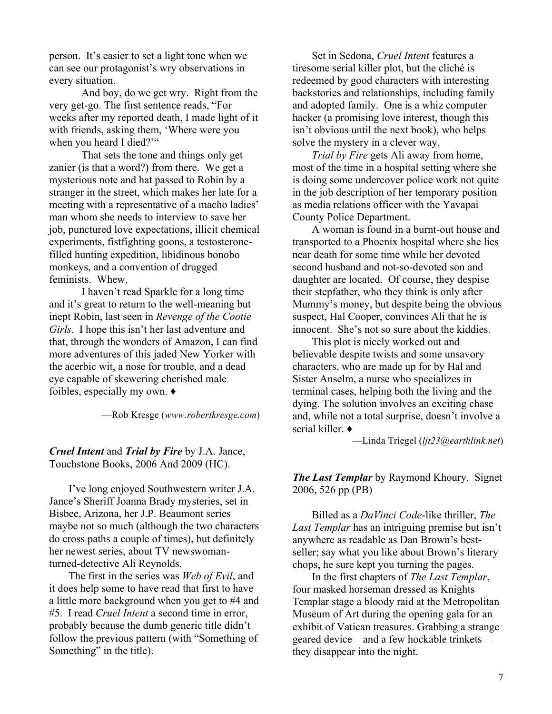person. It's easier to set a light tone when we can see our protagonist's wry observations in every situation.

And boy, do we get wry. Right from the very get-go. The first sentence reads, "For weeks after my reported death, I made light of it with friends, asking them, 'Where were you when you heard I died?"

That sets the tone and things only get zanier (is that a word?) from there. We get a mysterious note and hat passed to Robin by a stranger in the street, which makes her late for a meeting with a representative of a macho ladies' man whom she needs to interview to save her job, punctured love expectations, illicit chemical experiments, fistfighting goons, a testosteronefilled hunting expedition, libidinous bonobo monkeys, and a convention of drugged feminists. Whew.

I haven't read Sparkle for a long time and it's great to return to the well-meaning but inept Robin, last seen in *Revenge of the Cootie Girls*. I hope this isn't her last adventure and that, through the wonders of Amazon, I can find more adventures of this jaded New Yorker with the acerbic wit, a nose for trouble, and a dead eye capable of skewering cherished male foibles, especially my own. **♦**

—Rob Kresge (*www.robertkresge.com*)

*Cruel Intent* and *Trial by Fire* by J.A. Jance, Touchstone Books, 2006 And 2009 (HC).

I've long enjoyed Southwestern writer J.A. Jance's Sheriff Joanna Brady mysteries, set in Bisbee, Arizona, her J.P. Beaumont series maybe not so much (although the two characters do cross paths a couple of times), but definitely her newest series, about TV newswomanturned-detective Ali Reynolds.

The first in the series was *Web of Evil*, and it does help some to have read that first to have a little more background when you get to #4 and #5. I read *Cruel Intent* a second time in error, probably because the dumb generic title didn't follow the previous pattern (with "Something of Something" in the title).

Set in Sedona, *Cruel Intent* features a tiresome serial killer plot, but the cliché is redeemed by good characters with interesting backstories and relationships, including family and adopted family. One is a whiz computer hacker (a promising love interest, though this isn't obvious until the next book), who helps solve the mystery in a clever way.

*Trial by Fire* gets Ali away from home, most of the time in a hospital setting where she is doing some undercover police work not quite in the job description of her temporary position as media relations officer with the Yavapai County Police Department.

A woman is found in a burnt-out house and transported to a Phoenix hospital where she lies near death for some time while her devoted second husband and not-so-devoted son and daughter are located. Of course, they despise their stepfather, who they think is only after Mummy's money, but despite being the obvious suspect, Hal Cooper, convinces Ali that he is innocent. She's not so sure about the kiddies.

This plot is nicely worked out and believable despite twists and some unsavory characters, who are made up for by Hal and Sister Anselm, a nurse who specializes in terminal cases, helping both the living and the dying. The solution involves an exciting chase and, while not a total surprise, doesn't involve a serial killer. **♦**

—Linda Triegel (*ljt23@earthlink.net*)

*The Last Templar* by Raymond Khoury. Signet 2006, 526 pp (PB)

Billed as a *DaVinci Code*-like thriller, *The Last Templar* has an intriguing premise but isn't anywhere as readable as Dan Brown's bestseller; say what you like about Brown's literary chops, he sure kept you turning the pages.

In the first chapters of *The Last Templar*, four masked horseman dressed as Knights Templar stage a bloody raid at the Metropolitan Museum of Art during the opening gala for an exhibit of Vatican treasures. Grabbing a strange geared device—and a few hockable trinkets they disappear into the night.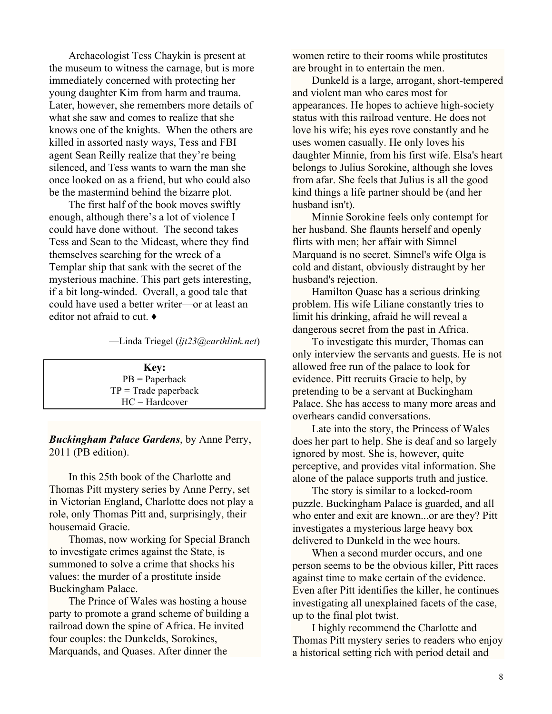Archaeologist Tess Chaykin is present at the museum to witness the carnage, but is more immediately concerned with protecting her young daughter Kim from harm and trauma. Later, however, she remembers more details of what she saw and comes to realize that she knows one of the knights. When the others are killed in assorted nasty ways, Tess and FBI agent Sean Reilly realize that they're being silenced, and Tess wants to warn the man she once looked on as a friend, but who could also be the mastermind behind the bizarre plot.

The first half of the book moves swiftly enough, although there's a lot of violence I could have done without. The second takes Tess and Sean to the Mideast, where they find themselves searching for the wreck of a Templar ship that sank with the secret of the mysterious machine. This part gets interesting, if a bit long-winded. Overall, a good tale that could have used a better writer—or at least an editor not afraid to cut. **♦**

—Linda Triegel (*ljt23@earthlink.net*)

**Key:** PB = Paperback  $TP = Trade paper back$ HC = Hardcover

*Buckingham Palace Gardens*, by Anne Perry, 2011 (PB edition).

In this 25th book of the Charlotte and Thomas Pitt mystery series by Anne Perry, set in Victorian England, Charlotte does not play a role, only Thomas Pitt and, surprisingly, their housemaid Gracie.

Thomas, now working for Special Branch to investigate crimes against the State, is summoned to solve a crime that shocks his values: the murder of a prostitute inside Buckingham Palace.

The Prince of Wales was hosting a house party to promote a grand scheme of building a railroad down the spine of Africa. He invited four couples: the Dunkelds, Sorokines, Marquands, and Quases. After dinner the

women retire to their rooms while prostitutes are brought in to entertain the men.

Dunkeld is a large, arrogant, short-tempered and violent man who cares most for appearances. He hopes to achieve high-society status with this railroad venture. He does not love his wife; his eyes rove constantly and he uses women casually. He only loves his daughter Minnie, from his first wife. Elsa's heart belongs to Julius Sorokine, although she loves from afar. She feels that Julius is all the good kind things a life partner should be (and her husband isn't).

Minnie Sorokine feels only contempt for her husband. She flaunts herself and openly flirts with men; her affair with Simnel Marquand is no secret. Simnel's wife Olga is cold and distant, obviously distraught by her husband's rejection.

Hamilton Quase has a serious drinking problem. His wife Liliane constantly tries to limit his drinking, afraid he will reveal a dangerous secret from the past in Africa.

To investigate this murder, Thomas can only interview the servants and guests. He is not allowed free run of the palace to look for evidence. Pitt recruits Gracie to help, by pretending to be a servant at Buckingham Palace. She has access to many more areas and overhears candid conversations.

Late into the story, the Princess of Wales does her part to help. She is deaf and so largely ignored by most. She is, however, quite perceptive, and provides vital information. She alone of the palace supports truth and justice.

The story is similar to a locked-room puzzle. Buckingham Palace is guarded, and all who enter and exit are known...or are they? Pitt investigates a mysterious large heavy box delivered to Dunkeld in the wee hours.

When a second murder occurs, and one person seems to be the obvious killer, Pitt races against time to make certain of the evidence. Even after Pitt identifies the killer, he continues investigating all unexplained facets of the case, up to the final plot twist.

I highly recommend the Charlotte and Thomas Pitt mystery series to readers who enjoy a historical setting rich with period detail and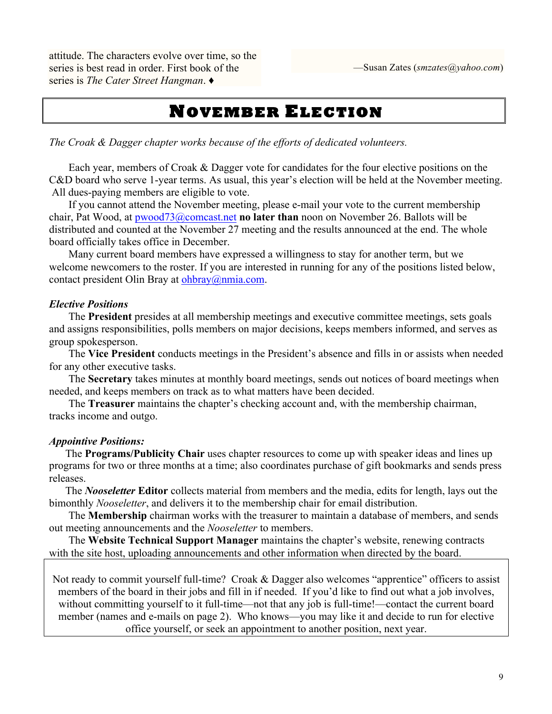attitude. The characters evolve over time, so the series is best read in order. First book of the series is *The Cater Street Hangman*. **♦**

# **NOVEMBER ELECTION**

*The Croak & Dagger chapter works because of the efforts of dedicated volunteers.*

Each year, members of Croak & Dagger vote for candidates for the four elective positions on the C&D board who serve 1-year terms. As usual, this year's election will be held at the November meeting. All dues-paying members are eligible to vote.

If you cannot attend the November meeting, please e-mail your vote to the current membership chair, Pat Wood, at pwood73@comcast.net **no later than** noon on November 26. Ballots will be distributed and counted at the November 27 meeting and the results announced at the end. The whole board officially takes office in December.

Many current board members have expressed a willingness to stay for another term, but we welcome newcomers to the roster. If you are interested in running for any of the positions listed below, contact president Olin Bray at ohbray@nmia.com.

#### *Elective Positions*

The **President** presides at all membership meetings and executive committee meetings, sets goals and assigns responsibilities, polls members on major decisions, keeps members informed, and serves as group spokesperson.

The **Vice President** conducts meetings in the President's absence and fills in or assists when needed for any other executive tasks.

The **Secretary** takes minutes at monthly board meetings, sends out notices of board meetings when needed, and keeps members on track as to what matters have been decided.

The **Treasurer** maintains the chapter's checking account and, with the membership chairman, tracks income and outgo.

#### *Appointive Positions:*

The **Programs/Publicity Chair** uses chapter resources to come up with speaker ideas and lines up programs for two or three months at a time; also coordinates purchase of gift bookmarks and sends press releases.

The *Nooseletter* **Editor** collects material from members and the media, edits for length, lays out the bimonthly *Nooseletter*, and delivers it to the membership chair for email distribution.

The **Membership** chairman works with the treasurer to maintain a database of members, and sends out meeting announcements and the *Nooseletter* to members.

The **Website Technical Support Manager** maintains the chapter's website, renewing contracts with the site host, uploading announcements and other information when directed by the board.

Not ready to commit yourself full-time? Croak & Dagger also welcomes "apprentice" officers to assist members of the board in their jobs and fill in if needed. If you'd like to find out what a job involves, without committing yourself to it full-time—not that any job is full-time!—contact the current board member (names and e-mails on page 2). Who knows—you may like it and decide to run for elective office yourself, or seek an appointment to another position, next year.